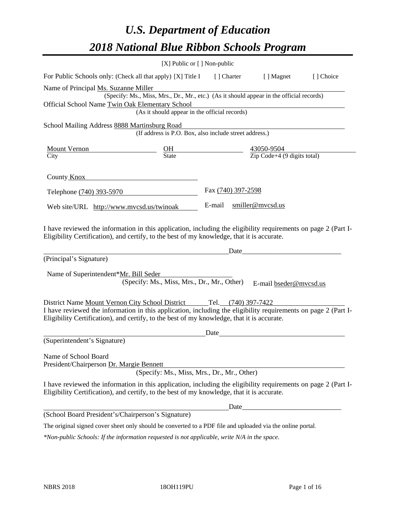# *U.S. Department of Education 2018 National Blue Ribbon Schools Program*

|                                                                                                                                                                                                                                                                                  | [X] Public or [] Non-public                                                                                                               |                     |                                                          |           |
|----------------------------------------------------------------------------------------------------------------------------------------------------------------------------------------------------------------------------------------------------------------------------------|-------------------------------------------------------------------------------------------------------------------------------------------|---------------------|----------------------------------------------------------|-----------|
| For Public Schools only: (Check all that apply) [X] Title I [] Charter                                                                                                                                                                                                           |                                                                                                                                           |                     | [ ] Magnet                                               | [] Choice |
| Name of Principal Ms. Suzanne Miller<br>Official School Name Twin Oak Elementary School                                                                                                                                                                                          | (Specify: Ms., Miss, Mrs., Dr., Mr., etc.) (As it should appear in the official records)<br>(As it should appear in the official records) |                     |                                                          |           |
| School Mailing Address 8888 Martinsburg Road                                                                                                                                                                                                                                     | (If address is P.O. Box, also include street address.)                                                                                    |                     |                                                          |           |
| <b>Mount Vernon</b><br>City                                                                                                                                                                                                                                                      | $rac{\text{OH}}{\text{State}}$                                                                                                            |                     | 43050-9504<br>$\overline{Zip Code} + 4 (9 digits total)$ |           |
| County Knox                                                                                                                                                                                                                                                                      |                                                                                                                                           |                     |                                                          |           |
| Telephone (740) 393-5970                                                                                                                                                                                                                                                         |                                                                                                                                           | Fax (740) 397-2598  |                                                          |           |
| Web site/URL http://www.mvcsd.us/twinoak                                                                                                                                                                                                                                         |                                                                                                                                           | E-mail              | smiller@mvcsd.us                                         |           |
| I have reviewed the information in this application, including the eligibility requirements on page 2 (Part I-<br>Eligibility Certification), and certify, to the best of my knowledge, that it is accurate.<br>(Principal's Signature)<br>Name of Superintendent*Mr. Bill Seder | (Specify: Ms., Miss, Mrs., Dr., Mr., Other)                                                                                               | Date                | E-mail bseder@mvcsd.us                                   |           |
| District Name Mount Vernon City School District<br>I have reviewed the information in this application, including the eligibility requirements on page 2 (Part I-<br>Eligibility Certification), and certify, to the best of my knowledge, that it is accurate.                  |                                                                                                                                           | Tel. (740) 397-7422 |                                                          |           |
| (Superintendent's Signature)                                                                                                                                                                                                                                                     |                                                                                                                                           | Date                |                                                          |           |
| Name of School Board<br>President/Chairperson Dr. Margie Bennett                                                                                                                                                                                                                 | (Specify: Ms., Miss, Mrs., Dr., Mr., Other)                                                                                               |                     |                                                          |           |
| I have reviewed the information in this application, including the eligibility requirements on page 2 (Part I-<br>Eligibility Certification), and certify, to the best of my knowledge, that it is accurate.                                                                     |                                                                                                                                           |                     |                                                          |           |
|                                                                                                                                                                                                                                                                                  |                                                                                                                                           | Date                |                                                          |           |
| (School Board President's/Chairperson's Signature)                                                                                                                                                                                                                               |                                                                                                                                           |                     |                                                          |           |
| The original signed cover sheet only should be converted to a PDF file and uploaded via the online portal.                                                                                                                                                                       |                                                                                                                                           |                     |                                                          |           |

*\*Non-public Schools: If the information requested is not applicable, write N/A in the space.*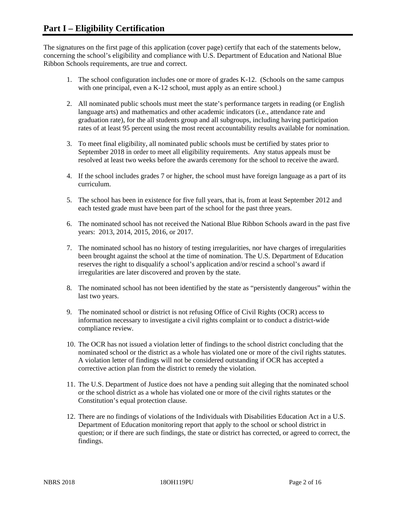The signatures on the first page of this application (cover page) certify that each of the statements below, concerning the school's eligibility and compliance with U.S. Department of Education and National Blue Ribbon Schools requirements, are true and correct.

- 1. The school configuration includes one or more of grades K-12. (Schools on the same campus with one principal, even a K-12 school, must apply as an entire school.)
- 2. All nominated public schools must meet the state's performance targets in reading (or English language arts) and mathematics and other academic indicators (i.e., attendance rate and graduation rate), for the all students group and all subgroups, including having participation rates of at least 95 percent using the most recent accountability results available for nomination.
- 3. To meet final eligibility, all nominated public schools must be certified by states prior to September 2018 in order to meet all eligibility requirements. Any status appeals must be resolved at least two weeks before the awards ceremony for the school to receive the award.
- 4. If the school includes grades 7 or higher, the school must have foreign language as a part of its curriculum.
- 5. The school has been in existence for five full years, that is, from at least September 2012 and each tested grade must have been part of the school for the past three years.
- 6. The nominated school has not received the National Blue Ribbon Schools award in the past five years: 2013, 2014, 2015, 2016, or 2017.
- 7. The nominated school has no history of testing irregularities, nor have charges of irregularities been brought against the school at the time of nomination. The U.S. Department of Education reserves the right to disqualify a school's application and/or rescind a school's award if irregularities are later discovered and proven by the state.
- 8. The nominated school has not been identified by the state as "persistently dangerous" within the last two years.
- 9. The nominated school or district is not refusing Office of Civil Rights (OCR) access to information necessary to investigate a civil rights complaint or to conduct a district-wide compliance review.
- 10. The OCR has not issued a violation letter of findings to the school district concluding that the nominated school or the district as a whole has violated one or more of the civil rights statutes. A violation letter of findings will not be considered outstanding if OCR has accepted a corrective action plan from the district to remedy the violation.
- 11. The U.S. Department of Justice does not have a pending suit alleging that the nominated school or the school district as a whole has violated one or more of the civil rights statutes or the Constitution's equal protection clause.
- 12. There are no findings of violations of the Individuals with Disabilities Education Act in a U.S. Department of Education monitoring report that apply to the school or school district in question; or if there are such findings, the state or district has corrected, or agreed to correct, the findings.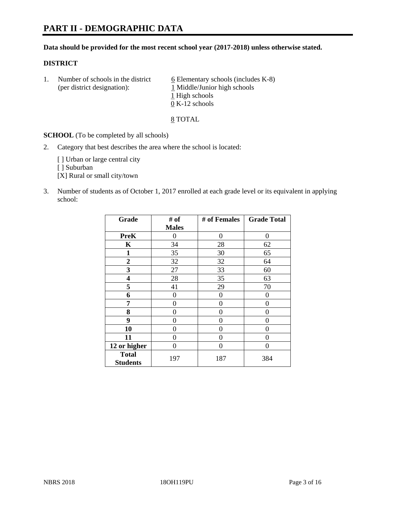## **PART II - DEMOGRAPHIC DATA**

#### **Data should be provided for the most recent school year (2017-2018) unless otherwise stated.**

#### **DISTRICT**

1. Number of schools in the district  $6$  Elementary schools (includes K-8) (per district designation): 1 Middle/Junior high schools 1 High schools 0 K-12 schools

8 TOTAL

**SCHOOL** (To be completed by all schools)

2. Category that best describes the area where the school is located:

[] Urban or large central city

[ ] Suburban

[X] Rural or small city/town

3. Number of students as of October 1, 2017 enrolled at each grade level or its equivalent in applying school:

| Grade                           | # of         | # of Females | <b>Grade Total</b> |
|---------------------------------|--------------|--------------|--------------------|
|                                 | <b>Males</b> |              |                    |
| <b>PreK</b>                     | 0            | $\theta$     | 0                  |
| $\mathbf K$                     | 34           | 28           | 62                 |
| $\mathbf{1}$                    | 35           | 30           | 65                 |
| 2                               | 32           | 32           | 64                 |
| 3                               | 27           | 33           | 60                 |
| 4                               | 28           | 35           | 63                 |
| 5                               | 41           | 29           | 70                 |
| 6                               | 0            | 0            | 0                  |
| 7                               | 0            | $\Omega$     | 0                  |
| 8                               | 0            | $\theta$     | 0                  |
| 9                               | 0            | 0            | 0                  |
| 10                              | 0            | 0            | 0                  |
| 11                              | 0            | 0            | 0                  |
| 12 or higher                    | 0            | $\Omega$     | 0                  |
| <b>Total</b><br><b>Students</b> | 197          | 187          | 384                |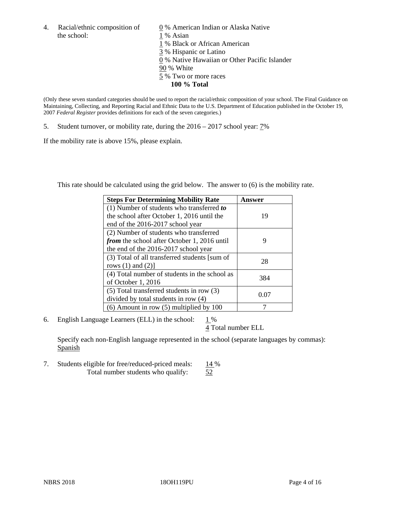4. Racial/ethnic composition of  $\qquad 0\%$  American Indian or Alaska Native the school: 1 % Asian

 % Black or African American % Hispanic or Latino % Native Hawaiian or Other Pacific Islander 90 % White % Two or more races **100 % Total**

(Only these seven standard categories should be used to report the racial/ethnic composition of your school. The Final Guidance on Maintaining, Collecting, and Reporting Racial and Ethnic Data to the U.S. Department of Education published in the October 19, 2007 *Federal Register* provides definitions for each of the seven categories.)

5. Student turnover, or mobility rate, during the 2016 – 2017 school year: 7%

If the mobility rate is above 15%, please explain.

This rate should be calculated using the grid below. The answer to (6) is the mobility rate.

| <b>Steps For Determining Mobility Rate</b>         | Answer |
|----------------------------------------------------|--------|
| (1) Number of students who transferred to          |        |
| the school after October 1, 2016 until the         | 19     |
| end of the 2016-2017 school year                   |        |
| (2) Number of students who transferred             |        |
| <i>from</i> the school after October 1, 2016 until | 9      |
| the end of the 2016-2017 school year               |        |
| (3) Total of all transferred students [sum of      | 28     |
| rows $(1)$ and $(2)$ ]                             |        |
| (4) Total number of students in the school as      |        |
| of October 1, 2016                                 | 384    |
| (5) Total transferred students in row (3)          |        |
| divided by total students in row (4)               | 0.07   |
| $(6)$ Amount in row $(5)$ multiplied by 100        |        |

6. English Language Learners (ELL) in the school:  $1\%$ 

4 Total number ELL

Specify each non-English language represented in the school (separate languages by commas): Spanish

7. Students eligible for free/reduced-priced meals:  $\frac{14\%}{52}$  Total number students who qualify:  $\frac{14\%}{52}$ Total number students who qualify: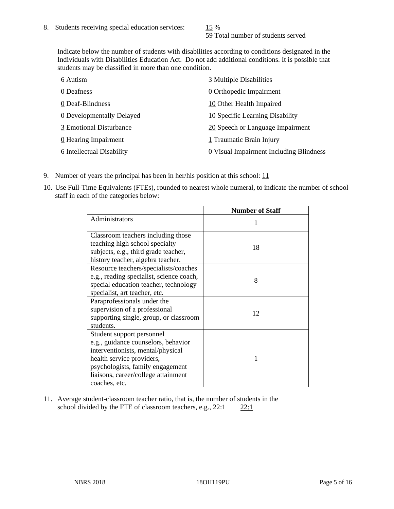59 Total number of students served

Indicate below the number of students with disabilities according to conditions designated in the Individuals with Disabilities Education Act. Do not add additional conditions. It is possible that students may be classified in more than one condition.

| 6 Autism                  | 3 Multiple Disabilities                               |
|---------------------------|-------------------------------------------------------|
| 0 Deafness                | 0 Orthopedic Impairment                               |
| 0 Deaf-Blindness          | 10 Other Health Impaired                              |
| 0 Developmentally Delayed | 10 Specific Learning Disability                       |
| 3 Emotional Disturbance   | 20 Speech or Language Impairment                      |
| 0 Hearing Impairment      | 1 Traumatic Brain Injury                              |
| 6 Intellectual Disability | $\underline{0}$ Visual Impairment Including Blindness |

- 9. Number of years the principal has been in her/his position at this school:  $11$
- 10. Use Full-Time Equivalents (FTEs), rounded to nearest whole numeral, to indicate the number of school staff in each of the categories below:

|                                                                                                                                                                                                                                | <b>Number of Staff</b> |
|--------------------------------------------------------------------------------------------------------------------------------------------------------------------------------------------------------------------------------|------------------------|
| Administrators                                                                                                                                                                                                                 |                        |
| Classroom teachers including those<br>teaching high school specialty                                                                                                                                                           |                        |
| subjects, e.g., third grade teacher,<br>history teacher, algebra teacher.                                                                                                                                                      | 18                     |
| Resource teachers/specialists/coaches<br>e.g., reading specialist, science coach,<br>special education teacher, technology<br>specialist, art teacher, etc.                                                                    | 8                      |
| Paraprofessionals under the<br>supervision of a professional<br>supporting single, group, or classroom<br>students.                                                                                                            | 12                     |
| Student support personnel<br>e.g., guidance counselors, behavior<br>interventionists, mental/physical<br>health service providers,<br>psychologists, family engagement<br>liaisons, career/college attainment<br>coaches, etc. |                        |

11. Average student-classroom teacher ratio, that is, the number of students in the school divided by the FTE of classroom teachers, e.g.,  $22:1$  22:1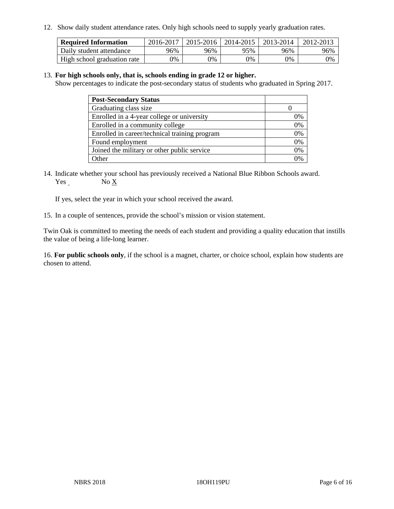12. Show daily student attendance rates. Only high schools need to supply yearly graduation rates.

| <b>Required Information</b> | 2016-2017 | 2015-2016 | 2014-2015 | 2013-2014 | 2012-2013 |
|-----------------------------|-----------|-----------|-----------|-----------|-----------|
| Daily student attendance    | 96%       | 96%       | 95%       | 96%       | 96%       |
| High school graduation rate | 0%        | 0%        | 0%        | 0%        | 0%        |

#### 13. **For high schools only, that is, schools ending in grade 12 or higher.**

Show percentages to indicate the post-secondary status of students who graduated in Spring 2017.

| <b>Post-Secondary Status</b>                  |    |
|-----------------------------------------------|----|
| Graduating class size                         |    |
| Enrolled in a 4-year college or university    | 0% |
| Enrolled in a community college               | 0% |
| Enrolled in career/technical training program | 0% |
| Found employment                              | 0% |
| Joined the military or other public service   | 0% |
| . Other                                       |    |

14. Indicate whether your school has previously received a National Blue Ribbon Schools award. Yes No X

If yes, select the year in which your school received the award.

15. In a couple of sentences, provide the school's mission or vision statement.

Twin Oak is committed to meeting the needs of each student and providing a quality education that instills the value of being a life-long learner.

16. **For public schools only**, if the school is a magnet, charter, or choice school, explain how students are chosen to attend.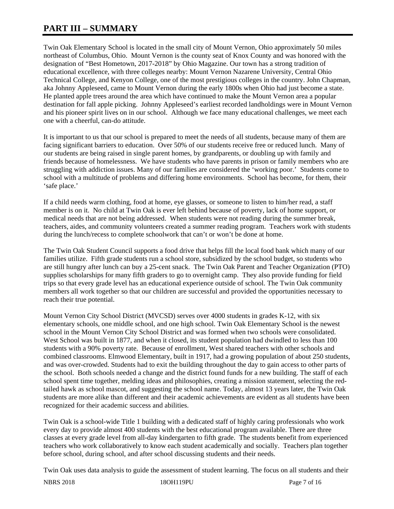# **PART III – SUMMARY**

Twin Oak Elementary School is located in the small city of Mount Vernon, Ohio approximately 50 miles northeast of Columbus, Ohio. Mount Vernon is the county seat of Knox County and was honored with the designation of "Best Hometown, 2017-2018" by Ohio Magazine. Our town has a strong tradition of educational excellence, with three colleges nearby: Mount Vernon Nazarene University, Central Ohio Technical College, and Kenyon College, one of the most prestigious colleges in the country. John Chapman, aka Johnny Appleseed, came to Mount Vernon during the early 1800s when Ohio had just become a state. He planted apple trees around the area which have continued to make the Mount Vernon area a popular destination for fall apple picking. Johnny Appleseed's earliest recorded landholdings were in Mount Vernon and his pioneer spirit lives on in our school. Although we face many educational challenges, we meet each one with a cheerful, can-do attitude.

It is important to us that our school is prepared to meet the needs of all students, because many of them are facing significant barriers to education. Over 50% of our students receive free or reduced lunch. Many of our students are being raised in single parent homes, by grandparents, or doubling up with family and friends because of homelessness. We have students who have parents in prison or family members who are struggling with addiction issues. Many of our families are considered the 'working poor.' Students come to school with a multitude of problems and differing home environments. School has become, for them, their 'safe place.'

If a child needs warm clothing, food at home, eye glasses, or someone to listen to him/her read, a staff member is on it. No child at Twin Oak is ever left behind because of poverty, lack of home support, or medical needs that are not being addressed. When students were not reading during the summer break, teachers, aides, and community volunteers created a summer reading program. Teachers work with students during the lunch/recess to complete schoolwork that can't or won't be done at home.

The Twin Oak Student Council supports a food drive that helps fill the local food bank which many of our families utilize. Fifth grade students run a school store, subsidized by the school budget, so students who are still hungry after lunch can buy a 25-cent snack. The Twin Oak Parent and Teacher Organization (PTO) supplies scholarships for many fifth graders to go to overnight camp. They also provide funding for field trips so that every grade level has an educational experience outside of school. The Twin Oak community members all work together so that our children are successful and provided the opportunities necessary to reach their true potential.

Mount Vernon City School District (MVCSD) serves over 4000 students in grades K-12, with six elementary schools, one middle school, and one high school. Twin Oak Elementary School is the newest school in the Mount Vernon City School District and was formed when two schools were consolidated. West School was built in 1877, and when it closed, its student population had dwindled to less than 100 students with a 90% poverty rate. Because of enrollment, West shared teachers with other schools and combined classrooms. Elmwood Elementary, built in 1917, had a growing population of about 250 students, and was over-crowded. Students had to exit the building throughout the day to gain access to other parts of the school. Both schools needed a change and the district found funds for a new building. The staff of each school spent time together, melding ideas and philosophies, creating a mission statement, selecting the redtailed hawk as school mascot, and suggesting the school name. Today, almost 13 years later, the Twin Oak students are more alike than different and their academic achievements are evident as all students have been recognized for their academic success and abilities.

Twin Oak is a school-wide Title 1 building with a dedicated staff of highly caring professionals who work every day to provide almost 400 students with the best educational program available. There are three classes at every grade level from all-day kindergarten to fifth grade. The students benefit from experienced teachers who work collaboratively to know each student academically and socially. Teachers plan together before school, during school, and after school discussing students and their needs.

Twin Oak uses data analysis to guide the assessment of student learning. The focus on all students and their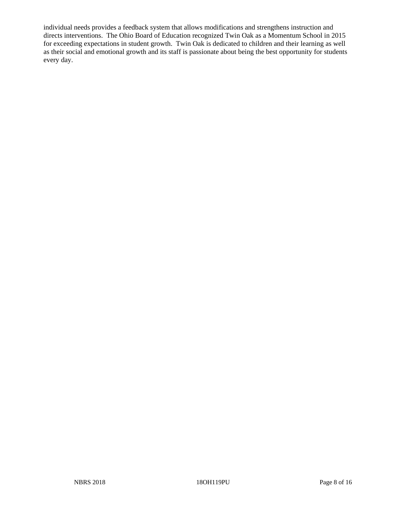individual needs provides a feedback system that allows modifications and strengthens instruction and directs interventions. The Ohio Board of Education recognized Twin Oak as a Momentum School in 2015 for exceeding expectations in student growth. Twin Oak is dedicated to children and their learning as well as their social and emotional growth and its staff is passionate about being the best opportunity for students every day.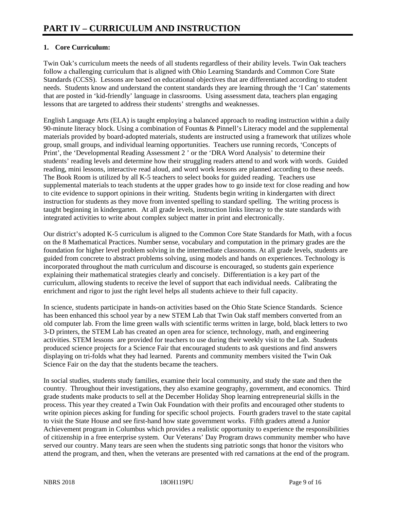## **1. Core Curriculum:**

Twin Oak's curriculum meets the needs of all students regardless of their ability levels. Twin Oak teachers follow a challenging curriculum that is aligned with Ohio Learning Standards and Common Core State Standards (CCSS). Lessons are based on educational objectives that are differentiated according to student needs. Students know and understand the content standards they are learning through the 'I Can' statements that are posted in 'kid-friendly' language in classrooms. Using assessment data, teachers plan engaging lessons that are targeted to address their students' strengths and weaknesses.

English Language Arts (ELA) is taught employing a balanced approach to reading instruction within a daily 90-minute literacy block. Using a combination of Fountas & Pinnell's Literacy model and the supplemental materials provided by board-adopted materials, students are instructed using a framework that utilizes whole group, small groups, and individual learning opportunities. Teachers use running records, 'Concepts of Print', the 'Developmental Reading Assessment 2 ' or the 'DRA Word Analysis' to determine their students' reading levels and determine how their struggling readers attend to and work with words. Guided reading, mini lessons, interactive read aloud, and word work lessons are planned according to these needs. The Book Room is utilized by all K-5 teachers to select books for guided reading. Teachers use supplemental materials to teach students at the upper grades how to go inside text for close reading and how to cite evidence to support opinions in their writing. Students begin writing in kindergarten with direct instruction for students as they move from invented spelling to standard spelling. The writing process is taught beginning in kindergarten. At all grade levels, instruction links literacy to the state standards with integrated activities to write about complex subject matter in print and electronically.

Our district's adopted K-5 curriculum is aligned to the Common Core State Standards for Math, with a focus on the 8 Mathematical Practices. Number sense, vocabulary and computation in the primary grades are the foundation for higher level problem solving in the intermediate classrooms. At all grade levels, students are guided from concrete to abstract problems solving, using models and hands on experiences. Technology is incorporated throughout the math curriculum and discourse is encouraged, so students gain experience explaining their mathematical strategies clearly and concisely. Differentiation is a key part of the curriculum, allowing students to receive the level of support that each individual needs. Calibrating the enrichment and rigor to just the right level helps all students achieve to their full capacity.

In science, students participate in hands-on activities based on the Ohio State Science Standards. Science has been enhanced this school year by a new STEM Lab that Twin Oak staff members converted from an old computer lab. From the lime green walls with scientific terms written in large, bold, black letters to two 3-D printers, the STEM Lab has created an open area for science, technology, math, and engineering activities. STEM lessons are provided for teachers to use during their weekly visit to the Lab. Students produced science projects for a Science Fair that encouraged students to ask questions and find answers displaying on tri-folds what they had learned. Parents and community members visited the Twin Oak Science Fair on the day that the students became the teachers.

In social studies, students study families, examine their local community, and study the state and then the country. Throughout their investigations, they also examine geography, government, and economics. Third grade students make products to sell at the December Holiday Shop learning entrepreneurial skills in the process. This year they created a Twin Oak Foundation with their profits and encouraged other students to write opinion pieces asking for funding for specific school projects. Fourth graders travel to the state capital to visit the State House and see first-hand how state government works. Fifth graders attend a Junior Achievement program in Columbus which provides a realistic opportunity to experience the responsibilities of citizenship in a free enterprise system. Our Veterans' Day Program draws community member who have served our country. Many tears are seen when the students sing patriotic songs that honor the visitors who attend the program, and then, when the veterans are presented with red carnations at the end of the program.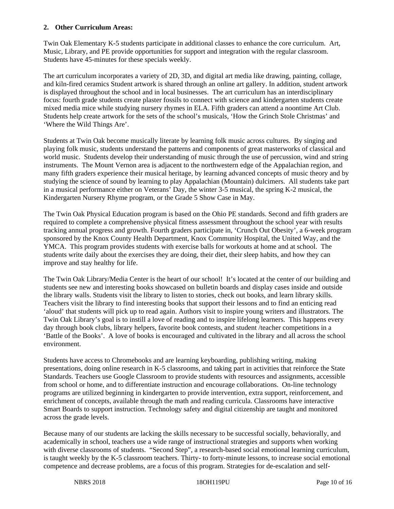#### **2. Other Curriculum Areas:**

Twin Oak Elementary K-5 students participate in additional classes to enhance the core curriculum. Art, Music, Library, and PE provide opportunities for support and integration with the regular classroom. Students have 45-minutes for these specials weekly.

The art curriculum incorporates a variety of 2D, 3D, and digital art media like drawing, painting, collage, and kiln-fired ceramics Student artwork is shared through an online art gallery. In addition, student artwork is displayed throughout the school and in local businesses. The art curriculum has an interdisciplinary focus: fourth grade students create plaster fossils to connect with science and kindergarten students create mixed media mice while studying nursery rhymes in ELA. Fifth graders can attend a noontime Art Club. Students help create artwork for the sets of the school's musicals, 'How the Grinch Stole Christmas' and 'Where the Wild Things Are'.

Students at Twin Oak become musically literate by learning folk music across cultures. By singing and playing folk music, students understand the patterns and components of great masterworks of classical and world music. Students develop their understanding of music through the use of percussion, wind and string instruments. The Mount Vernon area is adjacent to the northwestern edge of the Appalachian region, and many fifth graders experience their musical heritage, by learning advanced concepts of music theory and by studying the science of sound by learning to play Appalachian (Mountain) dulcimers. All students take part in a musical performance either on Veterans' Day, the winter 3-5 musical, the spring K-2 musical, the Kindergarten Nursery Rhyme program, or the Grade 5 Show Case in May.

The Twin Oak Physical Education program is based on the Ohio PE standards. Second and fifth graders are required to complete a comprehensive physical fitness assessment throughout the school year with results tracking annual progress and growth. Fourth graders participate in, 'Crunch Out Obesity', a 6-week program sponsored by the Knox County Health Department, Knox Community Hospital, the United Way, and the YMCA. This program provides students with exercise balls for workouts at home and at school. The students write daily about the exercises they are doing, their diet, their sleep habits, and how they can improve and stay healthy for life.

The Twin Oak Library/Media Center is the heart of our school! It's located at the center of our building and students see new and interesting books showcased on bulletin boards and display cases inside and outside the library walls. Students visit the library to listen to stories, check out books, and learn library skills. Teachers visit the library to find interesting books that support their lessons and to find an enticing read 'aloud' that students will pick up to read again. Authors visit to inspire young writers and illustrators. The Twin Oak Library's goal is to instill a love of reading and to inspire lifelong learners. This happens every day through book clubs, library helpers, favorite book contests, and student /teacher competitions in a 'Battle of the Books'. A love of books is encouraged and cultivated in the library and all across the school environment.

Students have access to Chromebooks and are learning keyboarding, publishing writing, making presentations, doing online research in K-5 classrooms, and taking part in activities that reinforce the State Standards. Teachers use Google Classroom to provide students with resources and assignments, accessible from school or home, and to differentiate instruction and encourage collaborations. On-line technology programs are utilized beginning in kindergarten to provide intervention, extra support, reinforcement, and enrichment of concepts, available through the math and reading curricula. Classrooms have interactive Smart Boards to support instruction. Technology safety and digital citizenship are taught and monitored across the grade levels.

Because many of our students are lacking the skills necessary to be successful socially, behaviorally, and academically in school, teachers use a wide range of instructional strategies and supports when working with diverse classrooms of students. "Second Step", a research-based social emotional learning curriculum, is taught weekly by the K-5 classroom teachers. Thirty- to forty-minute lessons, to increase social emotional competence and decrease problems, are a focus of this program. Strategies for de-escalation and self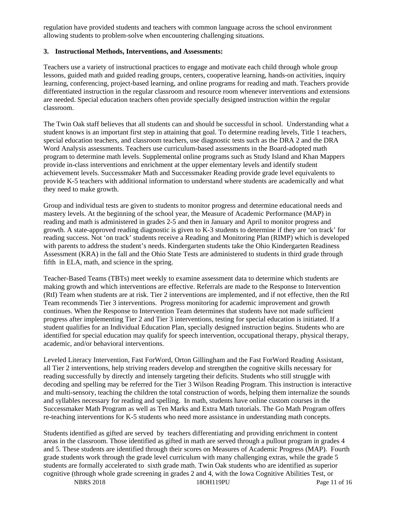regulation have provided students and teachers with common language across the school environment allowing students to problem-solve when encountering challenging situations.

#### **3. Instructional Methods, Interventions, and Assessments:**

Teachers use a variety of instructional practices to engage and motivate each child through whole group lessons, guided math and guided reading groups, centers, cooperative learning, hands-on activities, inquiry learning, conferencing, project-based learning, and online programs for reading and math. Teachers provide differentiated instruction in the regular classroom and resource room whenever interventions and extensions are needed. Special education teachers often provide specially designed instruction within the regular classroom.

The Twin Oak staff believes that all students can and should be successful in school. Understanding what a student knows is an important first step in attaining that goal. To determine reading levels, Title 1 teachers, special education teachers, and classroom teachers, use diagnostic tests such as the DRA 2 and the DRA Word Analysis assessments. Teachers use curriculum-based assessments in the Board-adopted math program to determine math levels. Supplemental online programs such as Study Island and Khan Mappers provide in-class interventions and enrichment at the upper elementary levels and identify student achievement levels. Successmaker Math and Successmaker Reading provide grade level equivalents to provide K-5 teachers with additional information to understand where students are academically and what they need to make growth.

Group and individual tests are given to students to monitor progress and determine educational needs and mastery levels. At the beginning of the school year, the Measure of Academic Performance (MAP) in reading and math is administered in grades 2-5 and then in January and April to monitor progress and growth. A state-approved reading diagnostic is given to K-3 students to determine if they are 'on track' for reading success. Not 'on track' students receive a Reading and Monitoring Plan (RIMP) which is developed with parents to address the student's needs. Kindergarten students take the Ohio Kindergarten Readiness Assessment (KRA) in the fall and the Ohio State Tests are administered to students in third grade through fifth in ELA, math, and science in the spring.

Teacher-Based Teams (TBTs) meet weekly to examine assessment data to determine which students are making growth and which interventions are effective. Referrals are made to the Response to Intervention (RtI) Team when students are at risk. Tier 2 interventions are implemented, and if not effective, then the RtI Team recommends Tier 3 interventions. Progress monitoring for academic improvement and growth continues. When the Response to Intervention Team determines that students have not made sufficient progress after implementing Tier 2 and Tier 3 interventions, testing for special education is initiated. If a student qualifies for an Individual Education Plan, specially designed instruction begins. Students who are identified for special education may qualify for speech intervention, occupational therapy, physical therapy, academic, and/or behavioral interventions.

Leveled Literacy Intervention, Fast ForWord, Orton Gillingham and the Fast ForWord Reading Assistant, all Tier 2 interventions, help striving readers develop and strengthen the cognitive skills necessary for reading successfully by directly and intensely targeting their deficits. Students who still struggle with decoding and spelling may be referred for the Tier 3 Wilson Reading Program. This instruction is interactive and multi-sensory, teaching the children the total construction of words, helping them internalize the sounds and syllables necessary for reading and spelling. In math, students have online custom courses in the Successmaker Math Program as well as Ten Marks and Extra Math tutorials. The Go Math Program offers re-teaching interventions for K-5 students who need more assistance in understanding math concepts.

Students identified as gifted are served by teachers differentiating and providing enrichment in content areas in the classroom. Those identified as gifted in math are served through a pullout program in grades 4 and 5. These students are identified through their scores on Measures of Academic Progress (MAP). Fourth grade students work through the grade level curriculum with many challenging extras, while the grade 5 students are formally accelerated to sixth grade math. Twin Oak students who are identified as superior cognitive (through whole grade screening in grades 2 and 4, with the Iowa Cognitive Abilities Test, or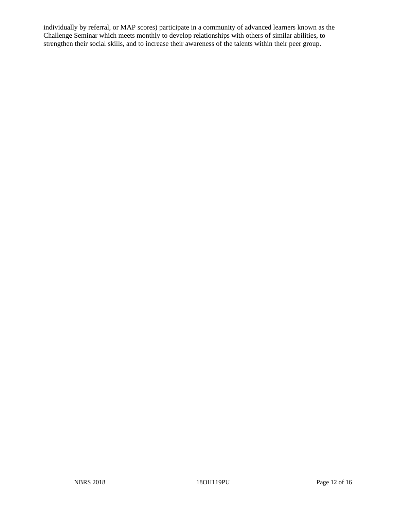individually by referral, or MAP scores) participate in a community of advanced learners known as the Challenge Seminar which meets monthly to develop relationships with others of similar abilities, to strengthen their social skills, and to increase their awareness of the talents within their peer group.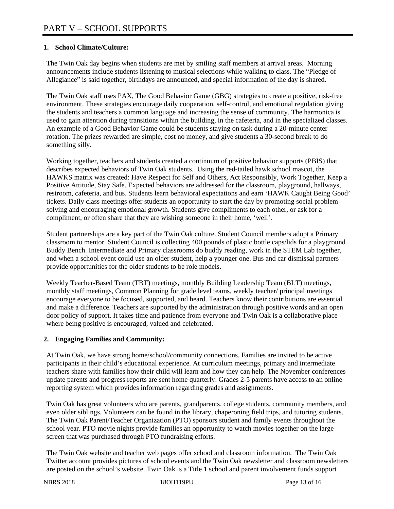### **1. School Climate/Culture:**

The Twin Oak day begins when students are met by smiling staff members at arrival areas. Morning announcements include students listening to musical selections while walking to class. The "Pledge of Allegiance" is said together, birthdays are announced, and special information of the day is shared.

The Twin Oak staff uses PAX, The Good Behavior Game (GBG) strategies to create a positive, risk-free environment. These strategies encourage daily cooperation, self-control, and emotional regulation giving the students and teachers a common language and increasing the sense of community. The harmonica is used to gain attention during transitions within the building, in the cafeteria, and in the specialized classes. An example of a Good Behavior Game could be students staying on task during a 20-minute center rotation. The prizes rewarded are simple, cost no money, and give students a 30-second break to do something silly.

Working together, teachers and students created a continuum of positive behavior supports (PBIS) that describes expected behaviors of Twin Oak students. Using the red-tailed hawk school mascot, the HAWKS matrix was created: Have Respect for Self and Others, Act Responsibly, Work Together, Keep a Positive Attitude, Stay Safe. Expected behaviors are addressed for the classroom, playground, hallways, restroom, cafeteria, and bus. Students learn behavioral expectations and earn 'HAWK Caught Being Good' tickets. Daily class meetings offer students an opportunity to start the day by promoting social problem solving and encouraging emotional growth. Students give compliments to each other, or ask for a compliment, or often share that they are wishing someone in their home, 'well'.

Student partnerships are a key part of the Twin Oak culture. Student Council members adopt a Primary classroom to mentor. Student Council is collecting 400 pounds of plastic bottle caps/lids for a playground Buddy Bench. Intermediate and Primary classrooms do buddy reading, work in the STEM Lab together, and when a school event could use an older student, help a younger one. Bus and car dismissal partners provide opportunities for the older students to be role models.

Weekly Teacher-Based Team (TBT) meetings, monthly Building Leadership Team (BLT) meetings, monthly staff meetings, Common Planning for grade level teams, weekly teacher/ principal meetings encourage everyone to be focused, supported, and heard. Teachers know their contributions are essential and make a difference. Teachers are supported by the administration through positive words and an open door policy of support. It takes time and patience from everyone and Twin Oak is a collaborative place where being positive is encouraged, valued and celebrated.

## **2. Engaging Families and Community:**

At Twin Oak, we have strong home/school/community connections. Families are invited to be active participants in their child's educational experience. At curriculum meetings, primary and intermediate teachers share with families how their child will learn and how they can help. The November conferences update parents and progress reports are sent home quarterly. Grades 2-5 parents have access to an online reporting system which provides information regarding grades and assignments.

Twin Oak has great volunteers who are parents, grandparents, college students, community members, and even older siblings. Volunteers can be found in the library, chaperoning field trips, and tutoring students. The Twin Oak Parent/Teacher Organization (PTO) sponsors student and family events throughout the school year. PTO movie nights provide families an opportunity to watch movies together on the large screen that was purchased through PTO fundraising efforts.

The Twin Oak website and teacher web pages offer school and classroom information. The Twin Oak Twitter account provides pictures of school events and the Twin Oak newsletter and classroom newsletters are posted on the school's website. Twin Oak is a Title 1 school and parent involvement funds support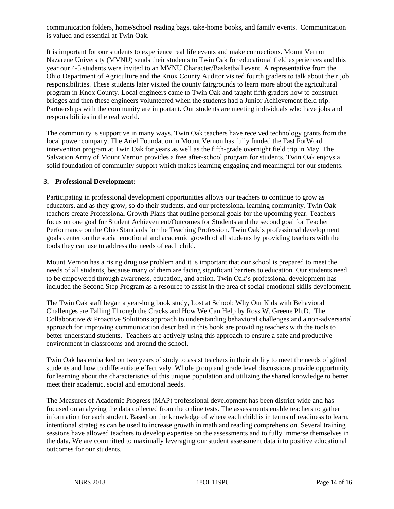communication folders, home/school reading bags, take-home books, and family events. Communication is valued and essential at Twin Oak.

It is important for our students to experience real life events and make connections. Mount Vernon Nazarene University (MVNU) sends their students to Twin Oak for educational field experiences and this year our 4-5 students were invited to an MVNU Character/Basketball event. A representative from the Ohio Department of Agriculture and the Knox County Auditor visited fourth graders to talk about their job responsibilities. These students later visited the county fairgrounds to learn more about the agricultural program in Knox County. Local engineers came to Twin Oak and taught fifth graders how to construct bridges and then these engineers volunteered when the students had a Junior Achievement field trip. Partnerships with the community are important. Our students are meeting individuals who have jobs and responsibilities in the real world.

The community is supportive in many ways. Twin Oak teachers have received technology grants from the local power company. The Ariel Foundation in Mount Vernon has fully funded the Fast ForWord intervention program at Twin Oak for years as well as the fifth-grade overnight field trip in May. The Salvation Army of Mount Vernon provides a free after-school program for students. Twin Oak enjoys a solid foundation of community support which makes learning engaging and meaningful for our students.

#### **3. Professional Development:**

Participating in professional development opportunities allows our teachers to continue to grow as educators, and as they grow, so do their students, and our professional learning community. Twin Oak teachers create Professional Growth Plans that outline personal goals for the upcoming year. Teachers focus on one goal for Student Achievement/Outcomes for Students and the second goal for Teacher Performance on the Ohio Standards for the Teaching Profession. Twin Oak's professional development goals center on the social emotional and academic growth of all students by providing teachers with the tools they can use to address the needs of each child.

Mount Vernon has a rising drug use problem and it is important that our school is prepared to meet the needs of all students, because many of them are facing significant barriers to education. Our students need to be empowered through awareness, education, and action. Twin Oak's professional development has included the Second Step Program as a resource to assist in the area of social-emotional skills development.

The Twin Oak staff began a year-long book study, Lost at School: Why Our Kids with Behavioral Challenges are Falling Through the Cracks and How We Can Help by Ross W. Greene Ph.D. The Collaborative & Proactive Solutions approach to understanding behavioral challenges and a non-adversarial approach for improving communication described in this book are providing teachers with the tools to better understand students. Teachers are actively using this approach to ensure a safe and productive environment in classrooms and around the school.

Twin Oak has embarked on two years of study to assist teachers in their ability to meet the needs of gifted students and how to differentiate effectively. Whole group and grade level discussions provide opportunity for learning about the characteristics of this unique population and utilizing the shared knowledge to better meet their academic, social and emotional needs.

The Measures of Academic Progress (MAP) professional development has been district-wide and has focused on analyzing the data collected from the online tests. The assessments enable teachers to gather information for each student. Based on the knowledge of where each child is in terms of readiness to learn, intentional strategies can be used to increase growth in math and reading comprehension. Several training sessions have allowed teachers to develop expertise on the assessments and to fully immerse themselves in the data. We are committed to maximally leveraging our student assessment data into positive educational outcomes for our students.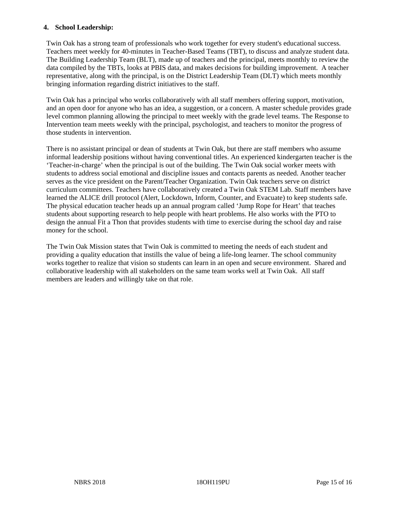#### **4. School Leadership:**

Twin Oak has a strong team of professionals who work together for every student's educational success. Teachers meet weekly for 40-minutes in Teacher-Based Teams (TBT), to discuss and analyze student data. The Building Leadership Team (BLT), made up of teachers and the principal, meets monthly to review the data compiled by the TBTs, looks at PBIS data, and makes decisions for building improvement. A teacher representative, along with the principal, is on the District Leadership Team (DLT) which meets monthly bringing information regarding district initiatives to the staff.

Twin Oak has a principal who works collaboratively with all staff members offering support, motivation, and an open door for anyone who has an idea, a suggestion, or a concern. A master schedule provides grade level common planning allowing the principal to meet weekly with the grade level teams. The Response to Intervention team meets weekly with the principal, psychologist, and teachers to monitor the progress of those students in intervention.

There is no assistant principal or dean of students at Twin Oak, but there are staff members who assume informal leadership positions without having conventional titles. An experienced kindergarten teacher is the 'Teacher-in-charge' when the principal is out of the building. The Twin Oak social worker meets with students to address social emotional and discipline issues and contacts parents as needed. Another teacher serves as the vice president on the Parent/Teacher Organization. Twin Oak teachers serve on district curriculum committees. Teachers have collaboratively created a Twin Oak STEM Lab. Staff members have learned the ALICE drill protocol (Alert, Lockdown, Inform, Counter, and Evacuate) to keep students safe. The physical education teacher heads up an annual program called 'Jump Rope for Heart' that teaches students about supporting research to help people with heart problems. He also works with the PTO to design the annual Fit a Thon that provides students with time to exercise during the school day and raise money for the school.

The Twin Oak Mission states that Twin Oak is committed to meeting the needs of each student and providing a quality education that instills the value of being a life-long learner. The school community works together to realize that vision so students can learn in an open and secure environment. Shared and collaborative leadership with all stakeholders on the same team works well at Twin Oak. All staff members are leaders and willingly take on that role.